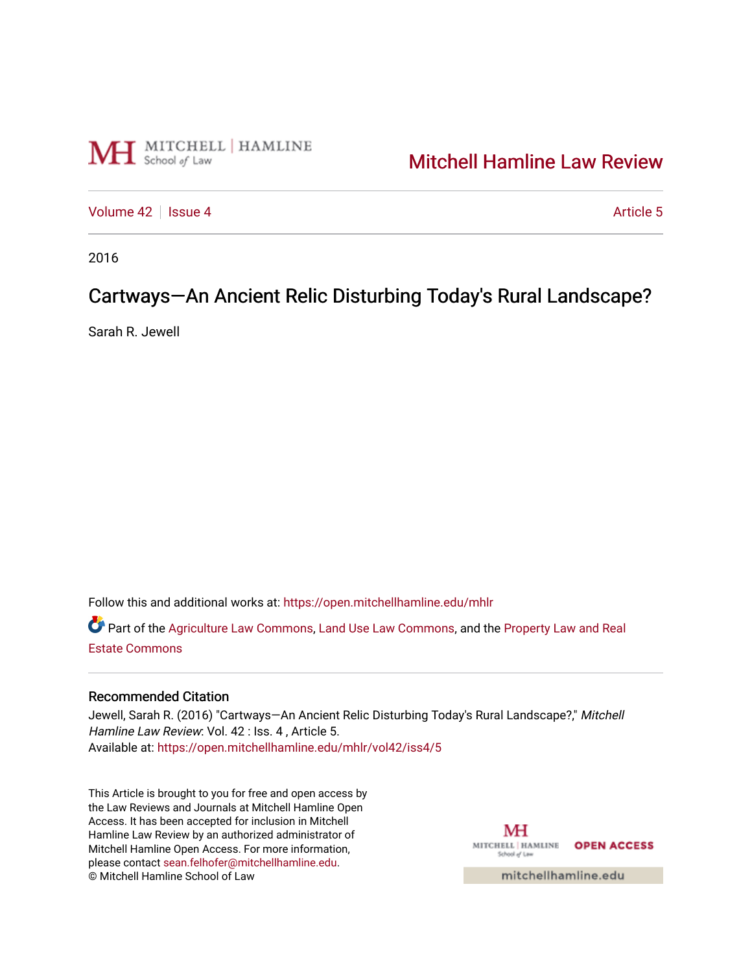

## [Mitchell Hamline Law Review](https://open.mitchellhamline.edu/mhlr)

[Volume 42](https://open.mitchellhamline.edu/mhlr/vol42) | [Issue 4](https://open.mitchellhamline.edu/mhlr/vol42/iss4) Article 5

2016

# Cartways-An Ancient Relic Disturbing Today's Rural Landscape?

Sarah R. Jewell

Follow this and additional works at: [https://open.mitchellhamline.edu/mhlr](https://open.mitchellhamline.edu/mhlr?utm_source=open.mitchellhamline.edu%2Fmhlr%2Fvol42%2Fiss4%2F5&utm_medium=PDF&utm_campaign=PDFCoverPages) 

Part of the [Agriculture Law Commons](http://network.bepress.com/hgg/discipline/581?utm_source=open.mitchellhamline.edu%2Fmhlr%2Fvol42%2Fiss4%2F5&utm_medium=PDF&utm_campaign=PDFCoverPages), [Land Use Law Commons](http://network.bepress.com/hgg/discipline/852?utm_source=open.mitchellhamline.edu%2Fmhlr%2Fvol42%2Fiss4%2F5&utm_medium=PDF&utm_campaign=PDFCoverPages), and the Property Law and Real [Estate Commons](http://network.bepress.com/hgg/discipline/897?utm_source=open.mitchellhamline.edu%2Fmhlr%2Fvol42%2Fiss4%2F5&utm_medium=PDF&utm_campaign=PDFCoverPages) 

## Recommended Citation

Jewell, Sarah R. (2016) "Cartways-An Ancient Relic Disturbing Today's Rural Landscape?," Mitchell Hamline Law Review: Vol. 42 : Iss. 4 , Article 5. Available at: [https://open.mitchellhamline.edu/mhlr/vol42/iss4/5](https://open.mitchellhamline.edu/mhlr/vol42/iss4/5?utm_source=open.mitchellhamline.edu%2Fmhlr%2Fvol42%2Fiss4%2F5&utm_medium=PDF&utm_campaign=PDFCoverPages) 

This Article is brought to you for free and open access by the Law Reviews and Journals at Mitchell Hamline Open Access. It has been accepted for inclusion in Mitchell Hamline Law Review by an authorized administrator of Mitchell Hamline Open Access. For more information, please contact [sean.felhofer@mitchellhamline.edu.](mailto:sean.felhofer@mitchellhamline.edu) © Mitchell Hamline School of Law

MH MITCHELL | HAMLINE OPEN ACCESS School of Lav

mitchellhamline.edu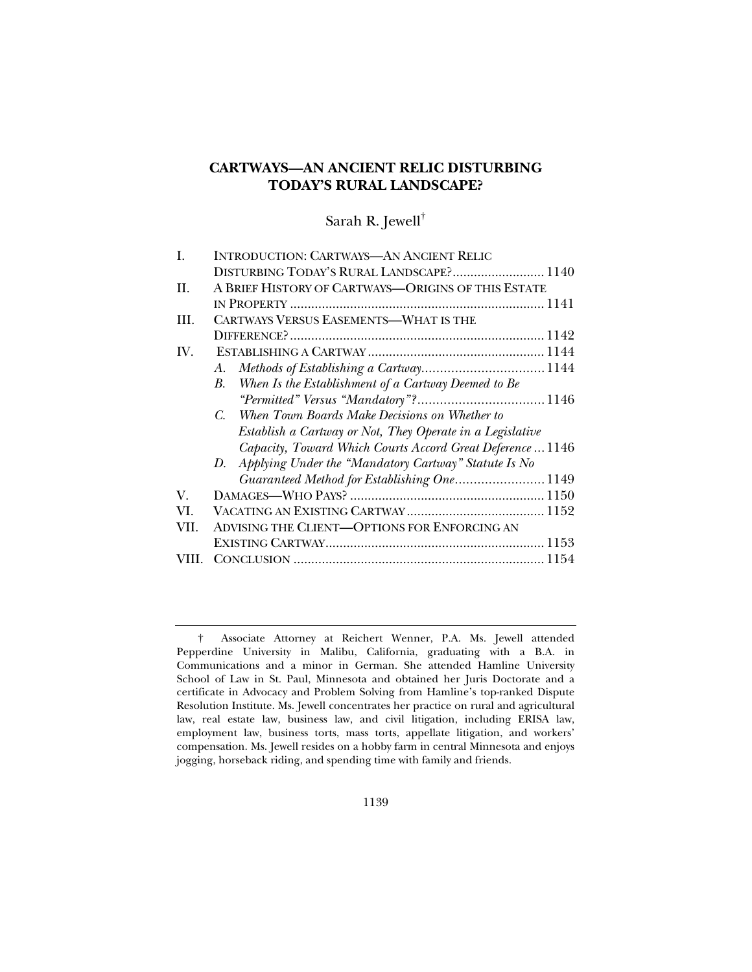## **CARTWAYS—AN ANCIENT RELIC DISTURBING TODAY'S RURAL LANDSCAPE?**

## Sarah R. Jewell†

| I.          | <b>INTRODUCTION: CARTWAYS-AN ANCIENT RELIC</b>               |  |
|-------------|--------------------------------------------------------------|--|
|             | DISTURBING TODAY'S RURAL LANDSCAPE? 1140                     |  |
| II.         | A BRIEF HISTORY OF CARTWAYS-ORIGINS OF THIS ESTATE           |  |
|             |                                                              |  |
| III.        | <b>CARTWAYS VERSUS EASEMENTS-WHAT IS THE</b>                 |  |
|             |                                                              |  |
| IV.         |                                                              |  |
|             | A.                                                           |  |
|             | When Is the Establishment of a Cartway Deemed to Be<br>B.    |  |
|             |                                                              |  |
|             | When Town Boards Make Decisions on Whether to<br>$C_{\cdot}$ |  |
|             | Establish a Cartway or Not, They Operate in a Legislative    |  |
|             | Capacity, Toward Which Courts Accord Great Deference  1146   |  |
|             | Applying Under the "Mandatory Cartway" Statute Is No<br>D.   |  |
|             | Guaranteed Method for Establishing One 1149                  |  |
| $V_{\cdot}$ |                                                              |  |
| VI.         |                                                              |  |
| VII.        | <b>ADVISING THE CLIENT—OPTIONS FOR ENFORCING AN</b>          |  |
|             |                                                              |  |
| VIII.       |                                                              |  |
|             |                                                              |  |

 <sup>†</sup> Associate Attorney at Reichert Wenner, P.A. Ms. Jewell attended Pepperdine University in Malibu, California, graduating with a B.A. in Communications and a minor in German. She attended Hamline University School of Law in St. Paul, Minnesota and obtained her Juris Doctorate and a certificate in Advocacy and Problem Solving from Hamline's top-ranked Dispute Resolution Institute. Ms. Jewell concentrates her practice on rural and agricultural law, real estate law, business law, and civil litigation, including ERISA law, employment law, business torts, mass torts, appellate litigation, and workers' compensation. Ms. Jewell resides on a hobby farm in central Minnesota and enjoys jogging, horseback riding, and spending time with family and friends.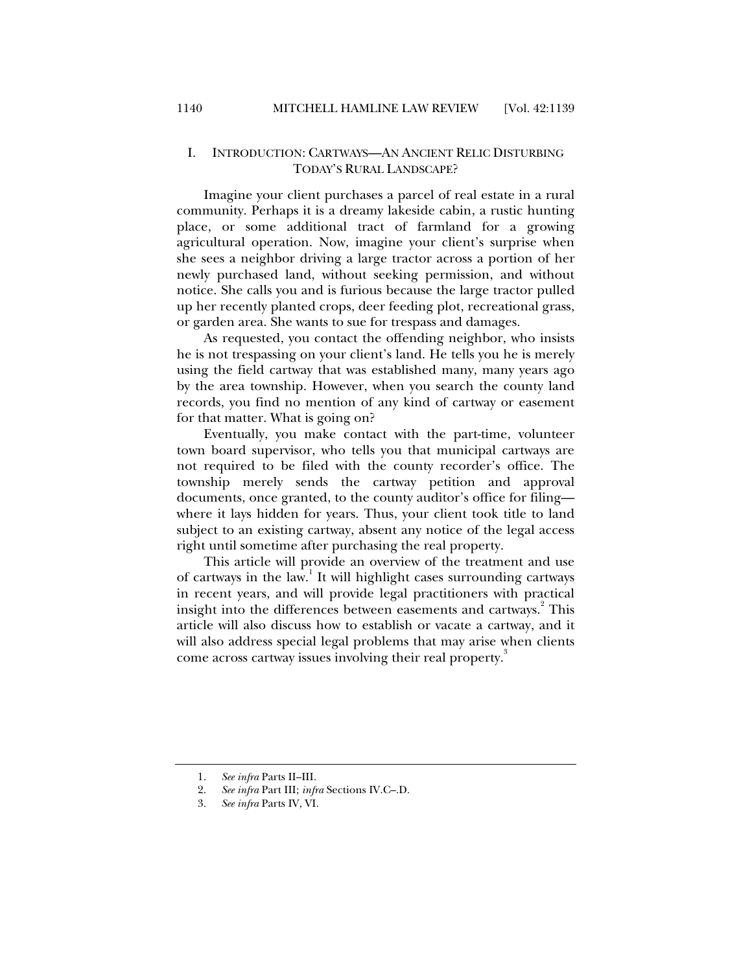## I. INTRODUCTION: CARTWAYS—AN ANCIENT RELIC DISTURBING TODAY'S RURAL LANDSCAPE?

Imagine your client purchases a parcel of real estate in a rural community. Perhaps it is a dreamy lakeside cabin, a rustic hunting place, or some additional tract of farmland for a growing agricultural operation. Now, imagine your client's surprise when she sees a neighbor driving a large tractor across a portion of her newly purchased land, without seeking permission, and without notice. She calls you and is furious because the large tractor pulled up her recently planted crops, deer feeding plot, recreational grass, or garden area. She wants to sue for trespass and damages.

As requested, you contact the offending neighbor, who insists he is not trespassing on your client's land. He tells you he is merely using the field cartway that was established many, many years ago by the area township. However, when you search the county land records, you find no mention of any kind of cartway or easement for that matter. What is going on?

Eventually, you make contact with the part-time, volunteer town board supervisor, who tells you that municipal cartways are not required to be filed with the county recorder's office. The township merely sends the cartway petition and approval documents, once granted, to the county auditor's office for filing where it lays hidden for years. Thus, your client took title to land subject to an existing cartway, absent any notice of the legal access right until sometime after purchasing the real property.

This article will provide an overview of the treatment and use of cartways in the law.<sup>1</sup> It will highlight cases surrounding cartways in recent years, and will provide legal practitioners with practical insight into the differences between easements and cartways. $^{2}$  This article will also discuss how to establish or vacate a cartway, and it will also address special legal problems that may arise when clients come across cartway issues involving their real property.<sup>3</sup>

 <sup>1.</sup> *See infra* Parts II–III.

 <sup>2.</sup> *See infra* Part III; *infra* Sections IV.C–.D.

 <sup>3.</sup> *See infra* Parts IV, VI.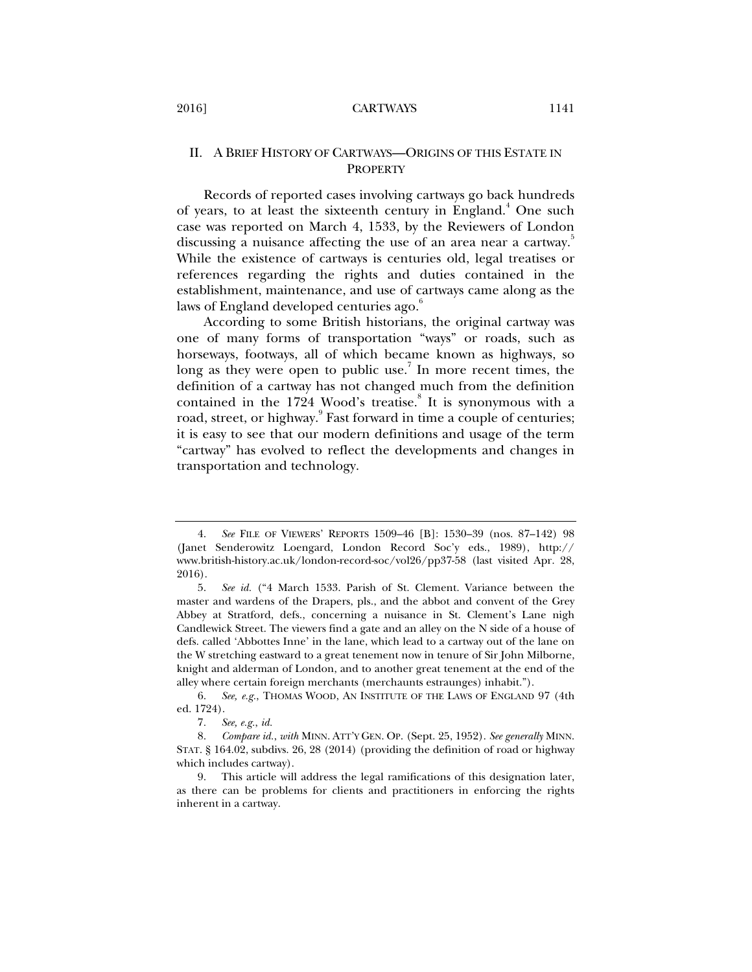## II. A BRIEF HISTORY OF CARTWAYS—ORIGINS OF THIS ESTATE IN **PROPERTY**

Records of reported cases involving cartways go back hundreds of years, to at least the sixteenth century in England.<sup>4</sup> One such case was reported on March 4, 1533, by the Reviewers of London discussing a nuisance affecting the use of an area near a cartway. While the existence of cartways is centuries old, legal treatises or references regarding the rights and duties contained in the establishment, maintenance, and use of cartways came along as the laws of England developed centuries ago.<sup>6</sup>

According to some British historians, the original cartway was one of many forms of transportation "ways" or roads, such as horseways, footways, all of which became known as highways, so long as they were open to public use.<sup>7</sup> In more recent times, the definition of a cartway has not changed much from the definition contained in the 1724 Wood's treatise.<sup>8</sup> It is synonymous with a road, street, or highway.<sup>9</sup> Fast forward in time a couple of centuries; it is easy to see that our modern definitions and usage of the term "cartway" has evolved to reflect the developments and changes in transportation and technology.

 <sup>4.</sup> *See* FILE OF VIEWERS' REPORTS 1509–46 [B]: 1530–39 (nos. 87–142) 98 (Janet Senderowitz Loengard, London Record Soc'y eds., 1989), http:// www.british-history.ac.uk/london-record-soc/vol26/pp37-58 (last visited Apr. 28, 2016).

 <sup>5.</sup> *See id.* ("4 March 1533. Parish of St. Clement. Variance between the master and wardens of the Drapers, pls., and the abbot and convent of the Grey Abbey at Stratford, defs., concerning a nuisance in St. Clement's Lane nigh Candlewick Street. The viewers find a gate and an alley on the N side of a house of defs. called 'Abbottes Inne' in the lane, which lead to a cartway out of the lane on the W stretching eastward to a great tenement now in tenure of Sir John Milborne, knight and alderman of London, and to another great tenement at the end of the alley where certain foreign merchants (merchaunts estraunges) inhabit.").

 <sup>6.</sup> *See, e.g.*, THOMAS WOOD, AN INSTITUTE OF THE LAWS OF ENGLAND 97 (4th ed. 1724).

<sup>7</sup>*. See, e.g.*, *id.*

 <sup>8.</sup> *Compare id.*, *with* MINN. ATT'Y GEN. OP. (Sept. 25, 1952). *See generally* MINN. STAT. § 164.02, subdivs. 26, 28 (2014) (providing the definition of road or highway which includes cartway).

 <sup>9.</sup> This article will address the legal ramifications of this designation later, as there can be problems for clients and practitioners in enforcing the rights inherent in a cartway.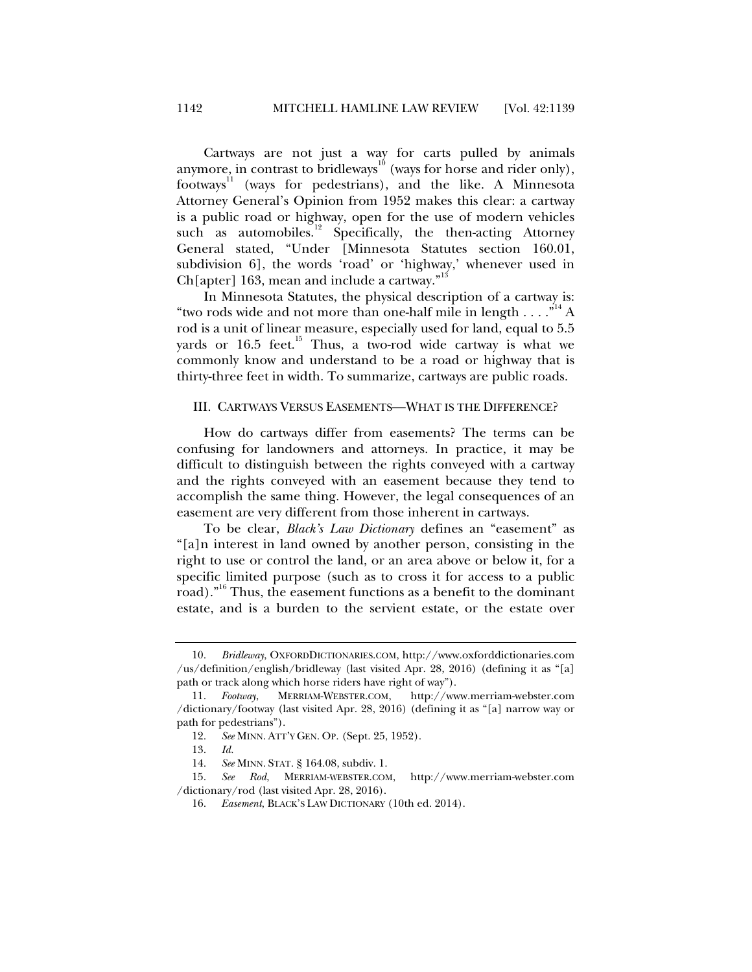Cartways are not just a way for carts pulled by animals anymore, in contrast to bridleways<sup>10</sup> (ways for horse and rider only), footways<sup>11</sup> (ways for pedestrians), and the like. A Minnesota Attorney General's Opinion from 1952 makes this clear: a cartway is a public road or highway, open for the use of modern vehicles such as automobiles.<sup>12</sup> Specifically, the then-acting Attorney General stated, "Under [Minnesota Statutes section 160.01, subdivision 6], the words 'road' or 'highway,' whenever used in Ch[apter] 163, mean and include a cartway."<sup>13</sup>

In Minnesota Statutes, the physical description of a cartway is: "two rods wide and not more than one-half mile in length  $\dots$ ."<sup>14</sup> A rod is a unit of linear measure, especially used for land, equal to 5.5 yards or  $16.5$  feet.<sup>15</sup> Thus, a two-rod wide cartway is what we commonly know and understand to be a road or highway that is thirty-three feet in width. To summarize, cartways are public roads.

### III. CARTWAYS VERSUS EASEMENTS—WHAT IS THE DIFFERENCE?

How do cartways differ from easements? The terms can be confusing for landowners and attorneys. In practice, it may be difficult to distinguish between the rights conveyed with a cartway and the rights conveyed with an easement because they tend to accomplish the same thing. However, the legal consequences of an easement are very different from those inherent in cartways.

To be clear, *Black's Law Dictionary* defines an "easement" as "[a]n interest in land owned by another person, consisting in the right to use or control the land, or an area above or below it, for a specific limited purpose (such as to cross it for access to a public road)."<sup>16</sup> Thus, the easement functions as a benefit to the dominant estate, and is a burden to the servient estate, or the estate over

 <sup>10.</sup> *Bridleway*, OXFORDDICTIONARIES.COM, http://www.oxforddictionaries.com /us/definition/english/bridleway (last visited Apr. 28, 2016) (defining it as "[a] path or track along which horse riders have right of way").

 <sup>11.</sup> *Footway*, MERRIAM-WEBSTER.COM, http://www.merriam-webster.com /dictionary/footway (last visited Apr. 28, 2016) (defining it as "[a] narrow way or path for pedestrians").

 <sup>12.</sup> *See* MINN. ATT'Y GEN. OP. (Sept. 25, 1952).

 <sup>13.</sup> *Id.*

 <sup>14.</sup> *See* MINN. STAT. § 164.08, subdiv. 1.

 <sup>15.</sup> *See Rod*, MERRIAM-WEBSTER.COM, http://www.merriam-webster.com /dictionary/rod (last visited Apr. 28, 2016).

 <sup>16.</sup> *Easement*, BLACK'S LAW DICTIONARY (10th ed. 2014).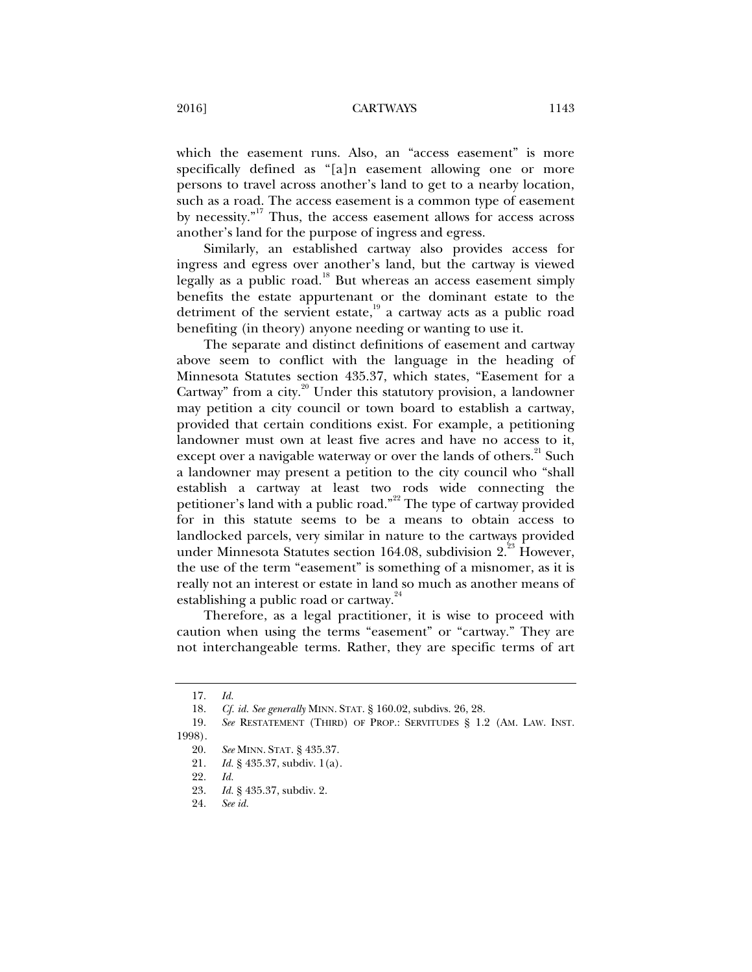which the easement runs. Also, an "access easement" is more specifically defined as "[a]n easement allowing one or more persons to travel across another's land to get to a nearby location, such as a road. The access easement is a common type of easement by necessity."17 Thus, the access easement allows for access across another's land for the purpose of ingress and egress.

Similarly, an established cartway also provides access for ingress and egress over another's land, but the cartway is viewed legally as a public road.<sup>18</sup> But whereas an access easement simply benefits the estate appurtenant or the dominant estate to the detriment of the servient estate, $19$  a cartway acts as a public road benefiting (in theory) anyone needing or wanting to use it.

The separate and distinct definitions of easement and cartway above seem to conflict with the language in the heading of Minnesota Statutes section 435.37, which states, "Easement for a Cartway" from a city.<sup>20</sup> Under this statutory provision, a landowner may petition a city council or town board to establish a cartway, provided that certain conditions exist. For example, a petitioning landowner must own at least five acres and have no access to it, except over a navigable waterway or over the lands of others.<sup>21</sup> Such a landowner may present a petition to the city council who "shall establish a cartway at least two rods wide connecting the petitioner's land with a public road."<sup>22</sup> The type of cartway provided for in this statute seems to be a means to obtain access to landlocked parcels, very similar in nature to the cartways provided under Minnesota Statutes section 164.08, subdivision 2.<sup>23</sup> However, the use of the term "easement" is something of a misnomer, as it is really not an interest or estate in land so much as another means of establishing a public road or cartway.<sup>24</sup>

Therefore, as a legal practitioner, it is wise to proceed with caution when using the terms "easement" or "cartway." They are not interchangeable terms. Rather, they are specific terms of art

 <sup>17.</sup> *Id.*

 <sup>18.</sup> *Cf. id. See generally* MINN. STAT. § 160.02, subdivs. 26, 28.

 <sup>19.</sup> *See* RESTATEMENT (THIRD) OF PROP.: SERVITUDES § 1.2 (AM. LAW. INST. 1998).

 <sup>20.</sup> *See* MINN. STAT. § 435.37.

 <sup>21.</sup> *Id.* § 435.37, subdiv. 1(a).

 <sup>22.</sup> *Id.*

 <sup>23.</sup> *Id.* § 435.37, subdiv. 2.

 <sup>24.</sup> *See id.*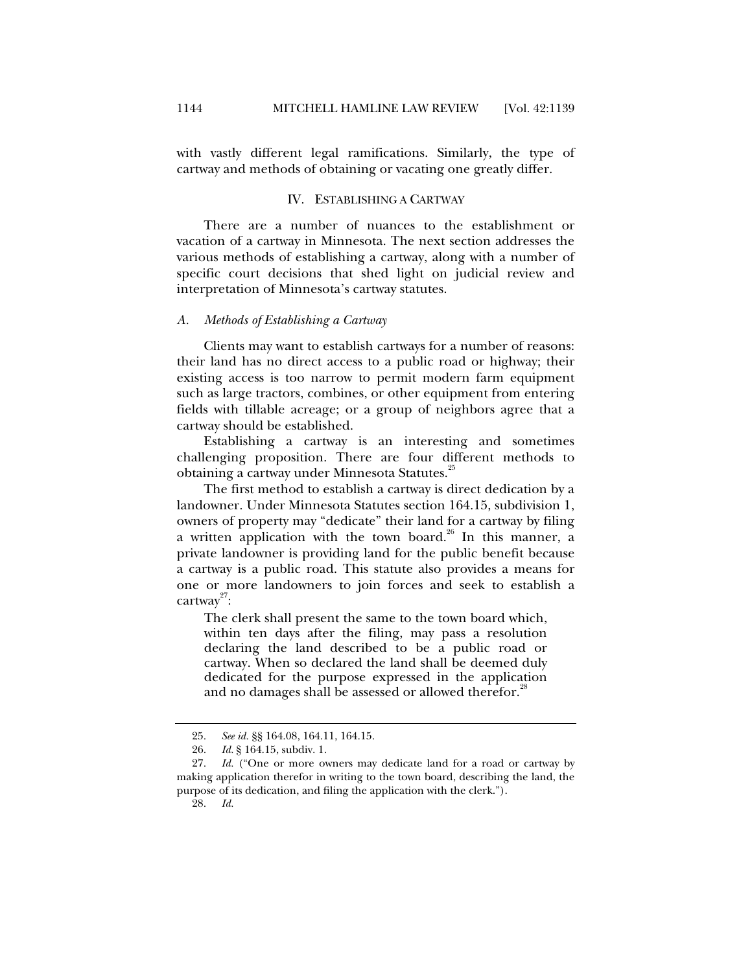with vastly different legal ramifications. Similarly, the type of cartway and methods of obtaining or vacating one greatly differ.

## IV. ESTABLISHING A CARTWAY

There are a number of nuances to the establishment or vacation of a cartway in Minnesota. The next section addresses the various methods of establishing a cartway, along with a number of specific court decisions that shed light on judicial review and interpretation of Minnesota's cartway statutes.

#### *A. Methods of Establishing a Cartway*

Clients may want to establish cartways for a number of reasons: their land has no direct access to a public road or highway; their existing access is too narrow to permit modern farm equipment such as large tractors, combines, or other equipment from entering fields with tillable acreage; or a group of neighbors agree that a cartway should be established.

Establishing a cartway is an interesting and sometimes challenging proposition. There are four different methods to obtaining a cartway under Minnesota Statutes.<sup>25</sup>

The first method to establish a cartway is direct dedication by a landowner. Under Minnesota Statutes section 164.15, subdivision 1, owners of property may "dedicate" their land for a cartway by filing a written application with the town board. $^{26}$  In this manner, a private landowner is providing land for the public benefit because a cartway is a public road. This statute also provides a means for one or more landowners to join forces and seek to establish a  $\text{cartway}^{27}$ :

The clerk shall present the same to the town board which, within ten days after the filing, may pass a resolution declaring the land described to be a public road or cartway. When so declared the land shall be deemed duly dedicated for the purpose expressed in the application and no damages shall be assessed or allowed therefor.<sup>28</sup>

 <sup>25.</sup> *See id.* §§ 164.08, 164.11, 164.15.

 <sup>26.</sup> *Id.* § 164.15, subdiv. 1.

 <sup>27.</sup> *Id.* ("One or more owners may dedicate land for a road or cartway by making application therefor in writing to the town board, describing the land, the purpose of its dedication, and filing the application with the clerk.").

 <sup>28.</sup> *Id.*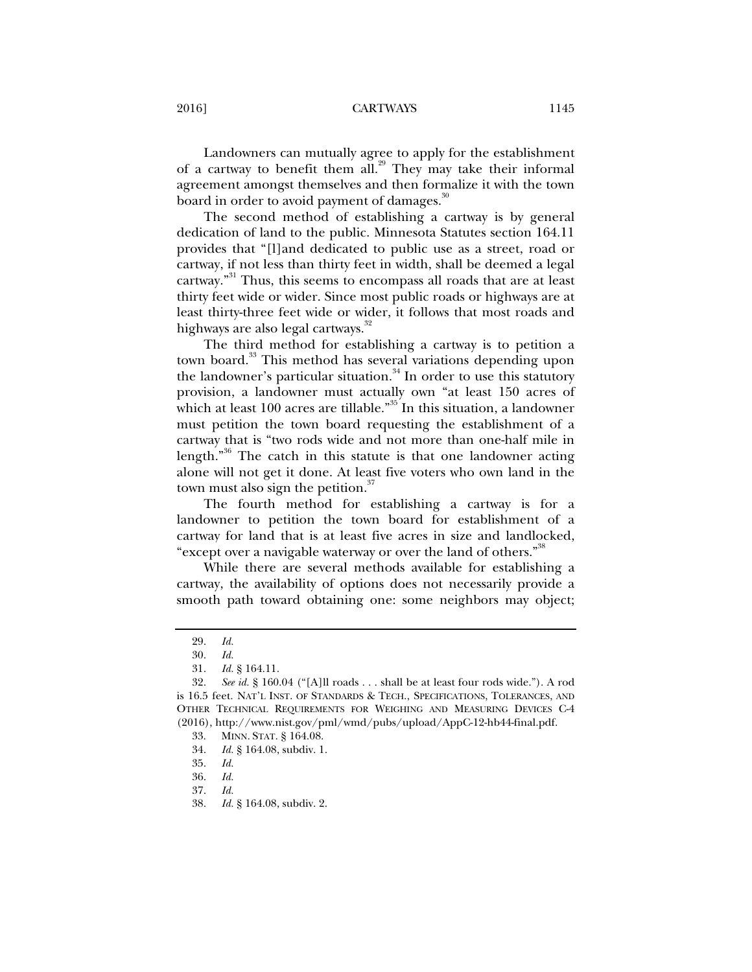Landowners can mutually agree to apply for the establishment of a cartway to benefit them all.<sup>29</sup> They may take their informal agreement amongst themselves and then formalize it with the town board in order to avoid payment of damages.<sup>30</sup>

The second method of establishing a cartway is by general dedication of land to the public. Minnesota Statutes section 164.11 provides that "[l]and dedicated to public use as a street, road or cartway, if not less than thirty feet in width, shall be deemed a legal cartway."<sup>31</sup> Thus, this seems to encompass all roads that are at least thirty feet wide or wider. Since most public roads or highways are at least thirty-three feet wide or wider, it follows that most roads and highways are also legal cartways.<sup>32</sup>

The third method for establishing a cartway is to petition a town board.<sup>33</sup> This method has several variations depending upon the landowner's particular situation. $34$  In order to use this statutory provision, a landowner must actually own "at least 150 acres of which at least 100 acres are tillable."<sup>35</sup> In this situation, a landowner must petition the town board requesting the establishment of a cartway that is "two rods wide and not more than one-half mile in length."<sup>36</sup> The catch in this statute is that one landowner acting alone will not get it done. At least five voters who own land in the town must also sign the petition. $37$ 

The fourth method for establishing a cartway is for a landowner to petition the town board for establishment of a cartway for land that is at least five acres in size and landlocked, "except over a navigable waterway or over the land of others."<sup>38</sup>

While there are several methods available for establishing a cartway, the availability of options does not necessarily provide a smooth path toward obtaining one: some neighbors may object;

34. *Id.* § 164.08, subdiv. 1.

 <sup>29.</sup> *Id.*

 <sup>30.</sup> *Id.*

 <sup>31.</sup> *Id.* § 164.11.

 <sup>32.</sup> *See id.* § 160.04 ("[A]ll roads . . . shall be at least four rods wide."). A rod is 16.5 feet. NAT'L INST. OF STANDARDS & TECH., SPECIFICATIONS, TOLERANCES, AND OTHER TECHNICAL REQUIREMENTS FOR WEIGHING AND MEASURING DEVICES C-4 (2016), http://www.nist.gov/pml/wmd/pubs/upload/AppC-12-hb44-final.pdf.

 <sup>33.</sup> MINN. STAT. § 164.08.

 <sup>35.</sup> *Id.*

 <sup>36.</sup> *Id.*

 <sup>37.</sup> *Id.* 

 <sup>38.</sup> *Id.* § 164.08, subdiv. 2.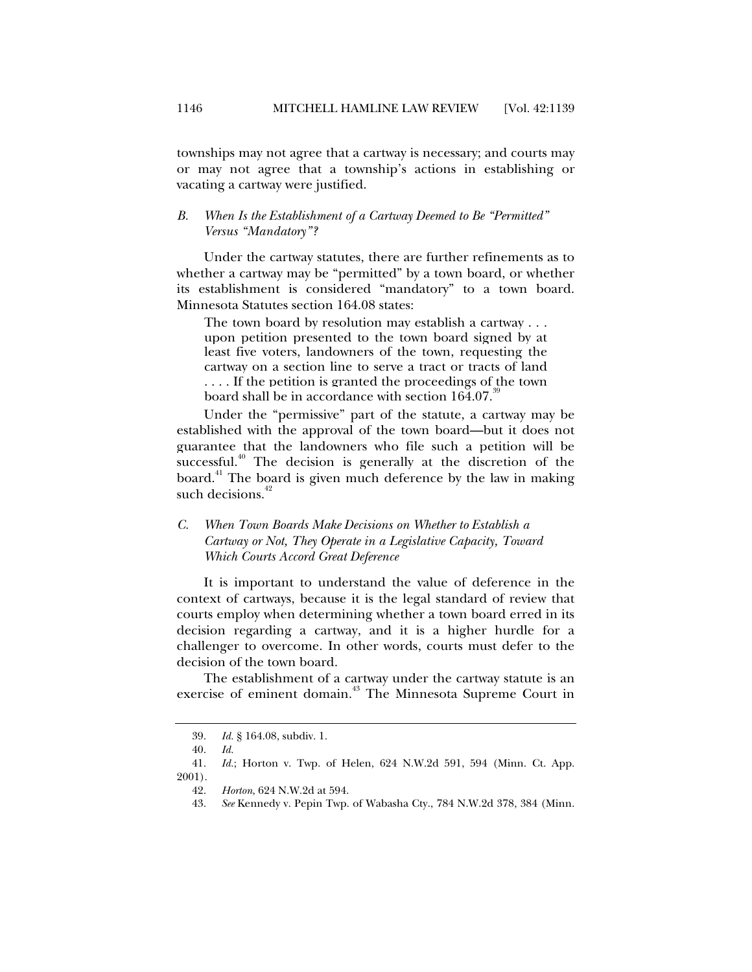townships may not agree that a cartway is necessary; and courts may or may not agree that a township's actions in establishing or vacating a cartway were justified.

## *B. When Is the Establishment of a Cartway Deemed to Be "Permitted" Versus "Mandatory"?*

Under the cartway statutes, there are further refinements as to whether a cartway may be "permitted" by a town board, or whether its establishment is considered "mandatory" to a town board. Minnesota Statutes section 164.08 states:

The town board by resolution may establish a cartway . . . upon petition presented to the town board signed by at least five voters, landowners of the town, requesting the cartway on a section line to serve a tract or tracts of land . . . . If the petition is granted the proceedings of the town board shall be in accordance with section  $164.07$ .<sup>39</sup>

Under the "permissive" part of the statute, a cartway may be established with the approval of the town board—but it does not guarantee that the landowners who file such a petition will be successful.<sup>40</sup> The decision is generally at the discretion of the board.<sup>41</sup> The board is given much deference by the law in making such decisions.<sup>42</sup>

*C. When Town Boards Make Decisions on Whether to Establish a Cartway or Not, They Operate in a Legislative Capacity, Toward Which Courts Accord Great Deference* 

It is important to understand the value of deference in the context of cartways, because it is the legal standard of review that courts employ when determining whether a town board erred in its decision regarding a cartway, and it is a higher hurdle for a challenger to overcome. In other words, courts must defer to the decision of the town board.

The establishment of a cartway under the cartway statute is an exercise of eminent domain.<sup>43</sup> The Minnesota Supreme Court in

 <sup>39.</sup> *Id.* § 164.08, subdiv. 1.

 <sup>40.</sup> *Id.*

 <sup>41.</sup> *Id.*; Horton v. Twp. of Helen, 624 N.W.2d 591, 594 (Minn. Ct. App. 2001).

 <sup>42.</sup> *Horton*, 624 N.W.2d at 594.

 <sup>43.</sup> *See* Kennedy v. Pepin Twp. of Wabasha Cty., 784 N.W.2d 378, 384 (Minn.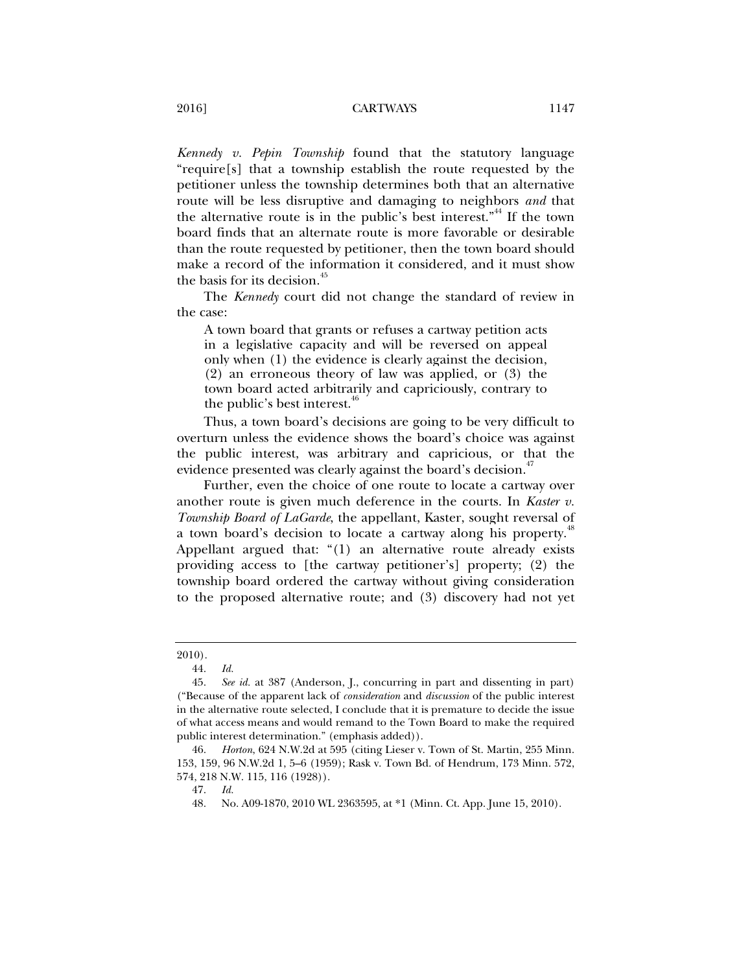*Kennedy v. Pepin Township* found that the statutory language "require[s] that a township establish the route requested by the petitioner unless the township determines both that an alternative route will be less disruptive and damaging to neighbors *and* that the alternative route is in the public's best interest."<sup>44</sup> If the town board finds that an alternate route is more favorable or desirable than the route requested by petitioner, then the town board should make a record of the information it considered, and it must show the basis for its decision.<sup>45</sup>

The *Kennedy* court did not change the standard of review in the case:

A town board that grants or refuses a cartway petition acts in a legislative capacity and will be reversed on appeal only when (1) the evidence is clearly against the decision, (2) an erroneous theory of law was applied, or (3) the town board acted arbitrarily and capriciously, contrary to the public's best interest.<sup>46</sup>

Thus, a town board's decisions are going to be very difficult to overturn unless the evidence shows the board's choice was against the public interest, was arbitrary and capricious, or that the evidence presented was clearly against the board's decision.<sup>47</sup>

Further, even the choice of one route to locate a cartway over another route is given much deference in the courts. In *Kaster v. Township Board of LaGarde*, the appellant, Kaster, sought reversal of a town board's decision to locate a cartway along his property.<sup>48</sup> Appellant argued that: "(1) an alternative route already exists providing access to [the cartway petitioner's] property; (2) the township board ordered the cartway without giving consideration to the proposed alternative route; and (3) discovery had not yet

<sup>2010).</sup> 

 <sup>44.</sup> *Id.*

 <sup>45.</sup> *See id.* at 387 (Anderson, J., concurring in part and dissenting in part) ("Because of the apparent lack of *consideration* and *discussion* of the public interest in the alternative route selected, I conclude that it is premature to decide the issue of what access means and would remand to the Town Board to make the required public interest determination." (emphasis added)).

 <sup>46.</sup> *Horton*, 624 N.W.2d at 595 (citing Lieser v. Town of St. Martin, 255 Minn. 153, 159, 96 N.W.2d 1, 5–6 (1959); Rask v. Town Bd. of Hendrum, 173 Minn. 572, 574, 218 N.W. 115, 116 (1928)).

 <sup>47.</sup> *Id.* 

 <sup>48.</sup> No. A09-1870, 2010 WL 2363595, at \*1 (Minn. Ct. App. June 15, 2010).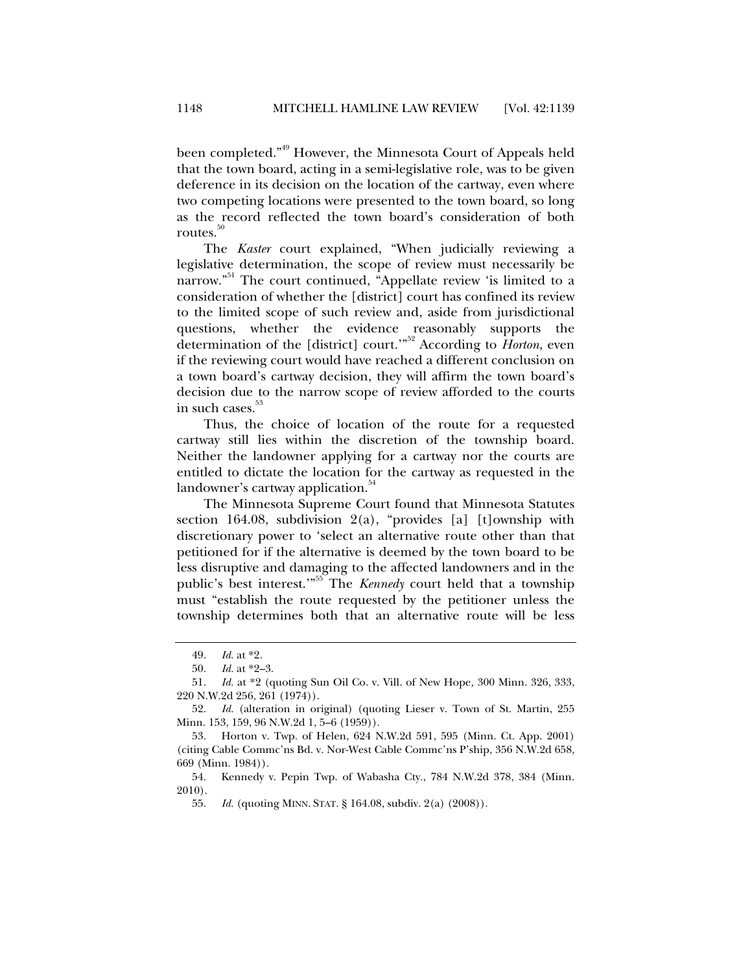been completed."49 However, the Minnesota Court of Appeals held that the town board, acting in a semi-legislative role, was to be given deference in its decision on the location of the cartway, even where two competing locations were presented to the town board, so long as the record reflected the town board's consideration of both routes. $50$ 

The *Kaster* court explained, "When judicially reviewing a legislative determination, the scope of review must necessarily be narrow."<sup>51</sup> The court continued, "Appellate review 'is limited to a consideration of whether the [district] court has confined its review to the limited scope of such review and, aside from jurisdictional questions, whether the evidence reasonably supports the determination of the [district] court.'"52 According to *Horton*, even if the reviewing court would have reached a different conclusion on a town board's cartway decision, they will affirm the town board's decision due to the narrow scope of review afforded to the courts in such cases. $53$ 

Thus, the choice of location of the route for a requested cartway still lies within the discretion of the township board. Neither the landowner applying for a cartway nor the courts are entitled to dictate the location for the cartway as requested in the landowner's cartway application.<sup>54</sup>

The Minnesota Supreme Court found that Minnesota Statutes section 164.08, subdivision  $2(a)$ , "provides [a] [t]ownship with discretionary power to 'select an alternative route other than that petitioned for if the alternative is deemed by the town board to be less disruptive and damaging to the affected landowners and in the public's best interest."<sup>55</sup> The *Kennedy* court held that a township must "establish the route requested by the petitioner unless the township determines both that an alternative route will be less

 <sup>49.</sup> *Id.* at \*2.

 <sup>50.</sup> *Id.* at \*2–3.

 <sup>51.</sup> *Id.* at \*2 (quoting Sun Oil Co. v. Vill. of New Hope*,* 300 Minn. 326, 333, 220 N.W.2d 256, 261 (1974)).

 <sup>52.</sup> *Id.* (alteration in original) (quoting Lieser v. Town of St. Martin, 255 Minn. 153, 159, 96 N.W.2d 1, 5–6 (1959)).

 <sup>53.</sup> Horton v. Twp. of Helen, 624 N.W.2d 591, 595 (Minn. Ct. App. 2001) (citing Cable Commc'ns Bd. v. Nor-West Cable Commc'ns P'ship, 356 N.W.2d 658, 669 (Minn. 1984)).

 <sup>54.</sup> Kennedy v. Pepin Twp. of Wabasha Cty., 784 N.W.2d 378, 384 (Minn. 2010).

 <sup>55.</sup> *Id.* (quoting MINN. STAT. § 164.08, subdiv. 2(a) (2008)).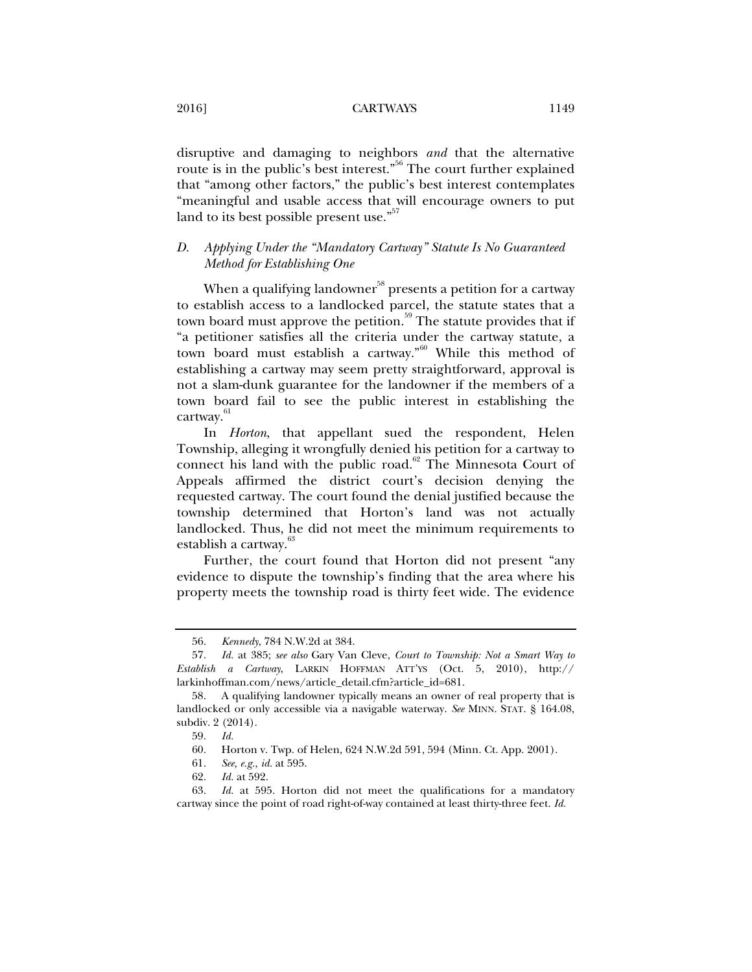disruptive and damaging to neighbors *and* that the alternative route is in the public's best interest."<sup>56</sup> The court further explained that "among other factors," the public's best interest contemplates "meaningful and usable access that will encourage owners to put land to its best possible present use."<sup>57</sup>

## *D. Applying Under the "Mandatory Cartway" Statute Is No Guaranteed Method for Establishing One*

When a qualifying landowner<sup>58</sup> presents a petition for a cartway to establish access to a landlocked parcel, the statute states that a town board must approve the petition.<sup>59</sup> The statute provides that if "a petitioner satisfies all the criteria under the cartway statute, a town board must establish a cartway."<sup>60</sup> While this method of establishing a cartway may seem pretty straightforward, approval is not a slam-dunk guarantee for the landowner if the members of a town board fail to see the public interest in establishing the cartway.<sup>61</sup>

In *Horton*, that appellant sued the respondent, Helen Township, alleging it wrongfully denied his petition for a cartway to connect his land with the public road. $62$  The Minnesota Court of Appeals affirmed the district court's decision denying the requested cartway. The court found the denial justified because the township determined that Horton's land was not actually landlocked. Thus, he did not meet the minimum requirements to establish a cartway.<sup>63</sup>

Further, the court found that Horton did not present "any evidence to dispute the township's finding that the area where his property meets the township road is thirty feet wide. The evidence

 <sup>56.</sup> *Kennedy*, 784 N.W.2d at 384.

 <sup>57.</sup> *Id.* at 385; *see also* Gary Van Cleve, *Court to Township: Not a Smart Way to Establish a Cartway*, LARKIN HOFFMAN ATT'YS (Oct. 5, 2010), http:// larkinhoffman.com/news/article\_detail.cfm?article\_id=681.

 <sup>58.</sup> A qualifying landowner typically means an owner of real property that is landlocked or only accessible via a navigable waterway. *See* MINN. STAT. § 164.08, subdiv. 2 (2014).

 <sup>59.</sup> *Id.*

 <sup>60.</sup> Horton v. Twp. of Helen, 624 N.W.2d 591, 594 (Minn. Ct. App. 2001).

 <sup>61.</sup> *See, e.g.*, *id.* at 595.

 <sup>62.</sup> *Id.* at 592.

 <sup>63.</sup> *Id.* at 595. Horton did not meet the qualifications for a mandatory cartway since the point of road right-of-way contained at least thirty-three feet. *Id.*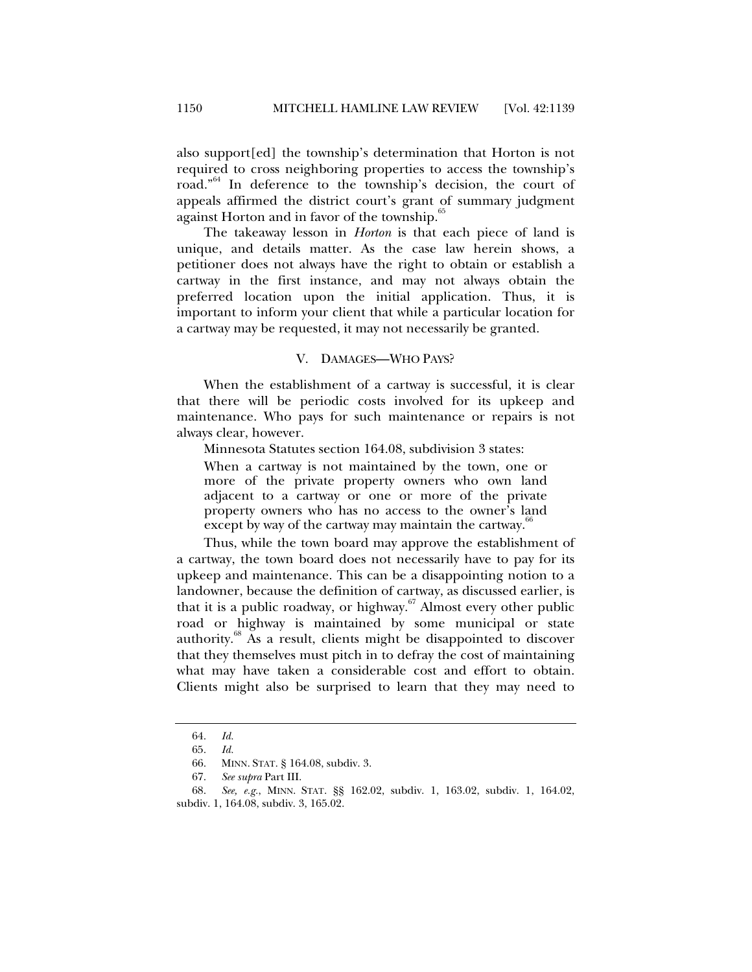also support[ed] the township's determination that Horton is not required to cross neighboring properties to access the township's road."<sup>64</sup> In deference to the township's decision, the court of appeals affirmed the district court's grant of summary judgment against Horton and in favor of the township.<sup>65</sup>

The takeaway lesson in *Horton* is that each piece of land is unique, and details matter. As the case law herein shows, a petitioner does not always have the right to obtain or establish a cartway in the first instance, and may not always obtain the preferred location upon the initial application. Thus, it is important to inform your client that while a particular location for a cartway may be requested, it may not necessarily be granted.

#### V. DAMAGES—WHO PAYS?

When the establishment of a cartway is successful, it is clear that there will be periodic costs involved for its upkeep and maintenance. Who pays for such maintenance or repairs is not always clear, however.

Minnesota Statutes section 164.08, subdivision 3 states:

When a cartway is not maintained by the town, one or more of the private property owners who own land adjacent to a cartway or one or more of the private property owners who has no access to the owner's land except by way of the cartway may maintain the cartway.<sup>66</sup>

Thus, while the town board may approve the establishment of a cartway, the town board does not necessarily have to pay for its upkeep and maintenance. This can be a disappointing notion to a landowner, because the definition of cartway, as discussed earlier, is that it is a public roadway, or highway. $67$  Almost every other public road or highway is maintained by some municipal or state authority. $\delta$ <sup>88</sup> As a result, clients might be disappointed to discover that they themselves must pitch in to defray the cost of maintaining what may have taken a considerable cost and effort to obtain. Clients might also be surprised to learn that they may need to

 <sup>64.</sup> *Id.*

 <sup>65.</sup> *Id.*

 <sup>66.</sup> MINN. STAT. § 164.08, subdiv. 3.

 <sup>67.</sup> *See supra* Part III.

 <sup>68.</sup> *See, e.g.*, MINN. STAT. §§ 162.02, subdiv. 1, 163.02, subdiv. 1, 164.02, subdiv. 1, 164.08, subdiv. 3, 165.02.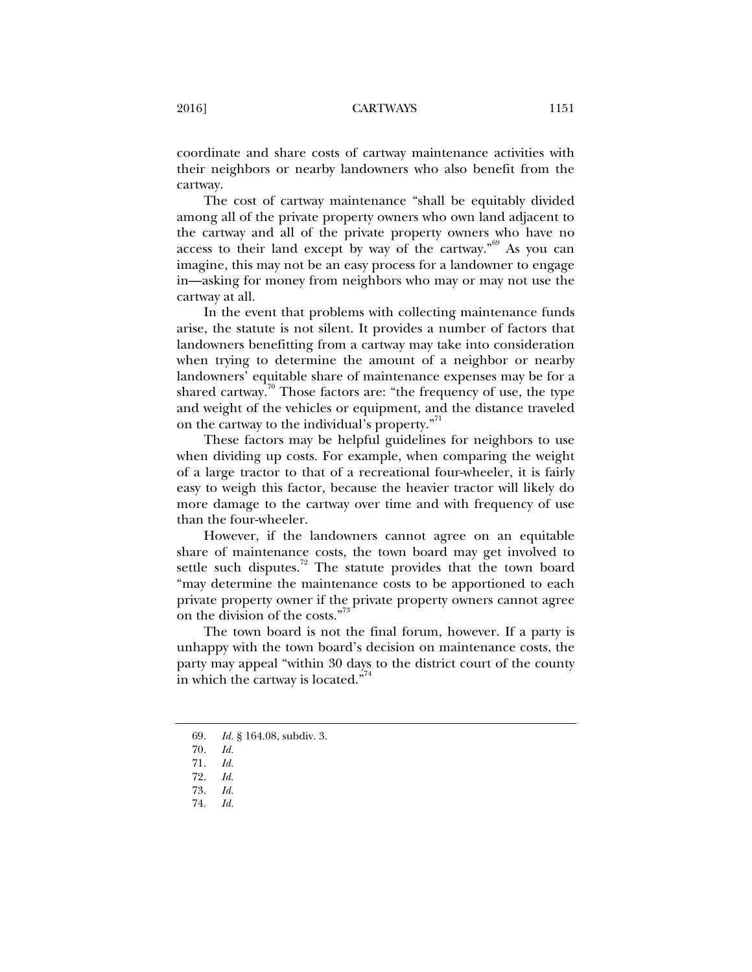coordinate and share costs of cartway maintenance activities with their neighbors or nearby landowners who also benefit from the cartway.

The cost of cartway maintenance "shall be equitably divided among all of the private property owners who own land adjacent to the cartway and all of the private property owners who have no access to their land except by way of the cartway.<sup> $59$ </sup> As you can imagine, this may not be an easy process for a landowner to engage in—asking for money from neighbors who may or may not use the cartway at all.

In the event that problems with collecting maintenance funds arise, the statute is not silent. It provides a number of factors that landowners benefitting from a cartway may take into consideration when trying to determine the amount of a neighbor or nearby landowners' equitable share of maintenance expenses may be for a shared cartway.<sup>70</sup> Those factors are: "the frequency of use, the type and weight of the vehicles or equipment, and the distance traveled on the cartway to the individual's property."<sup>11</sup>

These factors may be helpful guidelines for neighbors to use when dividing up costs. For example, when comparing the weight of a large tractor to that of a recreational four-wheeler, it is fairly easy to weigh this factor, because the heavier tractor will likely do more damage to the cartway over time and with frequency of use than the four-wheeler.

However, if the landowners cannot agree on an equitable share of maintenance costs, the town board may get involved to settle such disputes.<sup>72</sup> The statute provides that the town board "may determine the maintenance costs to be apportioned to each private property owner if the private property owners cannot agree on the division of the costs."<sup>73</sup>

The town board is not the final forum, however. If a party is unhappy with the town board's decision on maintenance costs, the party may appeal "within 30 days to the district court of the county in which the cartway is located."<sup>74</sup>

 <sup>69.</sup> *Id.* § 164.08, subdiv. 3.

 <sup>70.</sup> *Id.*

 <sup>71.</sup> *Id.*

 <sup>72.</sup> *Id.* 73. *Id.*

 <sup>74.</sup> *Id.*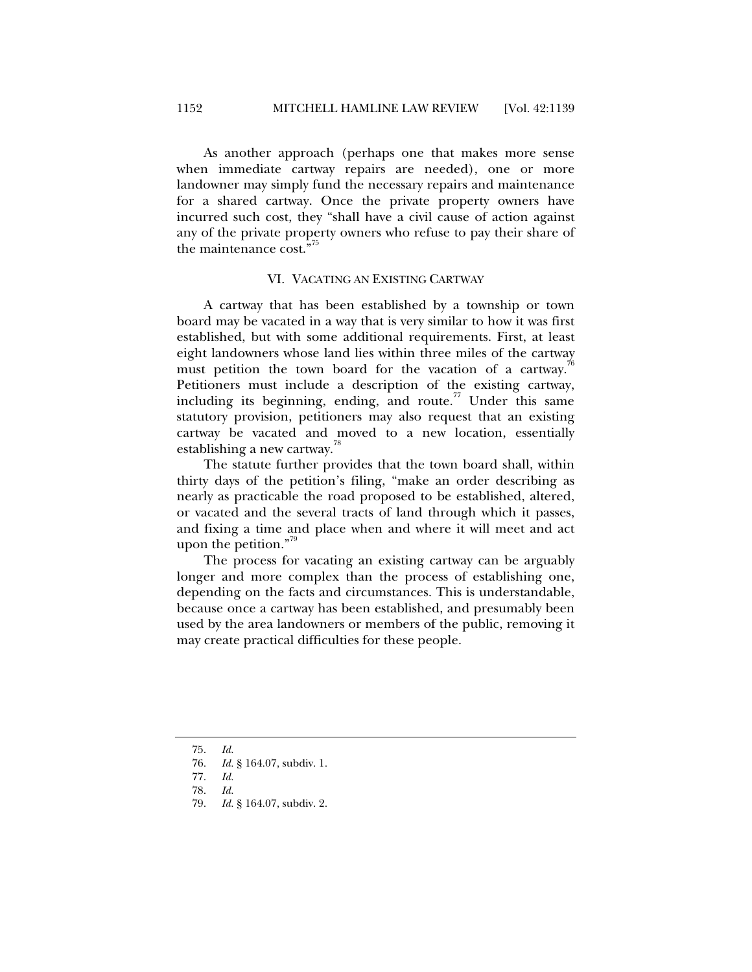As another approach (perhaps one that makes more sense when immediate cartway repairs are needed), one or more landowner may simply fund the necessary repairs and maintenance for a shared cartway. Once the private property owners have incurred such cost, they "shall have a civil cause of action against any of the private property owners who refuse to pay their share of the maintenance cost."

#### VI. VACATING AN EXISTING CARTWAY

A cartway that has been established by a township or town board may be vacated in a way that is very similar to how it was first established, but with some additional requirements. First, at least eight landowners whose land lies within three miles of the cartway must petition the town board for the vacation of a cartway.<sup>4</sup> Petitioners must include a description of the existing cartway, including its beginning, ending, and route. $77$  Under this same statutory provision, petitioners may also request that an existing cartway be vacated and moved to a new location, essentially establishing a new cartway.<sup>18</sup>

The statute further provides that the town board shall, within thirty days of the petition's filing, "make an order describing as nearly as practicable the road proposed to be established, altered, or vacated and the several tracts of land through which it passes, and fixing a time and place when and where it will meet and act upon the petition." $\frac{3}{2}$ 

The process for vacating an existing cartway can be arguably longer and more complex than the process of establishing one, depending on the facts and circumstances. This is understandable, because once a cartway has been established, and presumably been used by the area landowners or members of the public, removing it may create practical difficulties for these people.

 <sup>75.</sup> *Id.*

 <sup>76.</sup> *Id.* § 164.07, subdiv. 1.

 <sup>77.</sup> *Id.*

 <sup>78.</sup> *Id.*

 <sup>79.</sup> *Id.* § 164.07, subdiv. 2.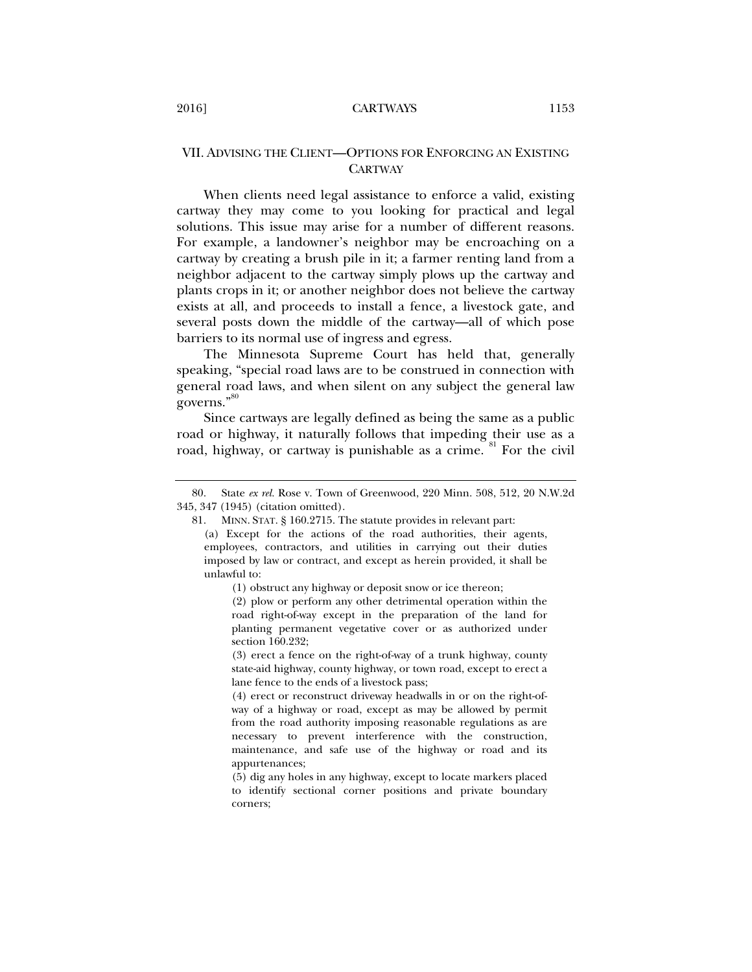## VII. ADVISING THE CLIENT—OPTIONS FOR ENFORCING AN EXISTING **CARTWAY**

When clients need legal assistance to enforce a valid, existing cartway they may come to you looking for practical and legal solutions. This issue may arise for a number of different reasons. For example, a landowner's neighbor may be encroaching on a cartway by creating a brush pile in it; a farmer renting land from a neighbor adjacent to the cartway simply plows up the cartway and plants crops in it; or another neighbor does not believe the cartway exists at all, and proceeds to install a fence, a livestock gate, and several posts down the middle of the cartway—all of which pose barriers to its normal use of ingress and egress.

The Minnesota Supreme Court has held that, generally speaking, "special road laws are to be construed in connection with general road laws, and when silent on any subject the general law governs."<sup>80</sup>

Since cartways are legally defined as being the same as a public road or highway, it naturally follows that impeding their use as a road, highway, or cartway is punishable as a crime. <sup>81</sup> For the civil

(1) obstruct any highway or deposit snow or ice thereon;

(2) plow or perform any other detrimental operation within the road right-of-way except in the preparation of the land for planting permanent vegetative cover or as authorized under section 160.232;

(3) erect a fence on the right-of-way of a trunk highway, county state-aid highway, county highway, or town road, except to erect a lane fence to the ends of a livestock pass;

(4) erect or reconstruct driveway headwalls in or on the right-ofway of a highway or road, except as may be allowed by permit from the road authority imposing reasonable regulations as are necessary to prevent interference with the construction, maintenance, and safe use of the highway or road and its appurtenances;

(5) dig any holes in any highway, except to locate markers placed to identify sectional corner positions and private boundary corners;

 <sup>80.</sup> State *ex rel.* Rose v. Town of Greenwood, 220 Minn. 508, 512, 20 N.W.2d 345, 347 (1945) (citation omitted).

 <sup>81.</sup> MINN. STAT. § 160.2715. The statute provides in relevant part:

<sup>(</sup>a) Except for the actions of the road authorities, their agents, employees, contractors, and utilities in carrying out their duties imposed by law or contract, and except as herein provided, it shall be unlawful to: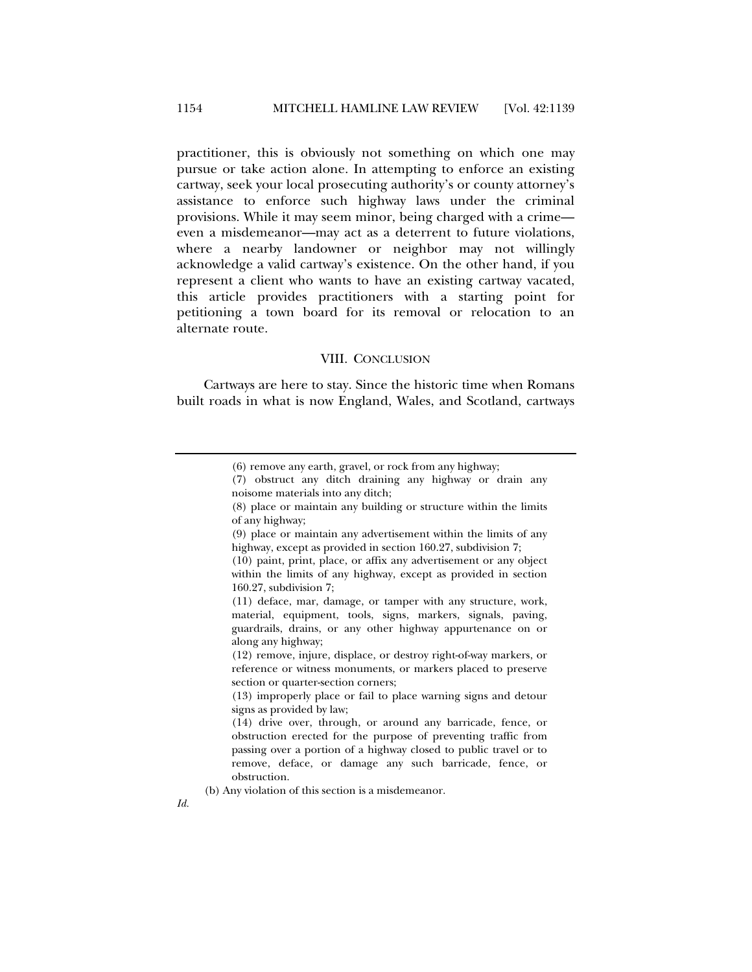practitioner, this is obviously not something on which one may pursue or take action alone. In attempting to enforce an existing cartway, seek your local prosecuting authority's or county attorney's assistance to enforce such highway laws under the criminal provisions. While it may seem minor, being charged with a crime even a misdemeanor—may act as a deterrent to future violations, where a nearby landowner or neighbor may not willingly acknowledge a valid cartway's existence. On the other hand, if you represent a client who wants to have an existing cartway vacated, this article provides practitioners with a starting point for petitioning a town board for its removal or relocation to an alternate route.

#### VIII. CONCLUSION

Cartways are here to stay. Since the historic time when Romans built roads in what is now England, Wales, and Scotland, cartways

(b) Any violation of this section is a misdemeanor.

<sup>(6)</sup> remove any earth, gravel, or rock from any highway;

<sup>(7)</sup> obstruct any ditch draining any highway or drain any noisome materials into any ditch;

<sup>(8)</sup> place or maintain any building or structure within the limits of any highway;

<sup>(9)</sup> place or maintain any advertisement within the limits of any highway, except as provided in section 160.27, subdivision 7;

<sup>(10)</sup> paint, print, place, or affix any advertisement or any object within the limits of any highway, except as provided in section 160.27, subdivision 7;

<sup>(11)</sup> deface, mar, damage, or tamper with any structure, work, material, equipment, tools, signs, markers, signals, paving, guardrails, drains, or any other highway appurtenance on or along any highway;

<sup>(12)</sup> remove, injure, displace, or destroy right-of-way markers, or reference or witness monuments, or markers placed to preserve section or quarter-section corners;

<sup>(13)</sup> improperly place or fail to place warning signs and detour signs as provided by law;

<sup>(14)</sup> drive over, through, or around any barricade, fence, or obstruction erected for the purpose of preventing traffic from passing over a portion of a highway closed to public travel or to remove, deface, or damage any such barricade, fence, or obstruction.